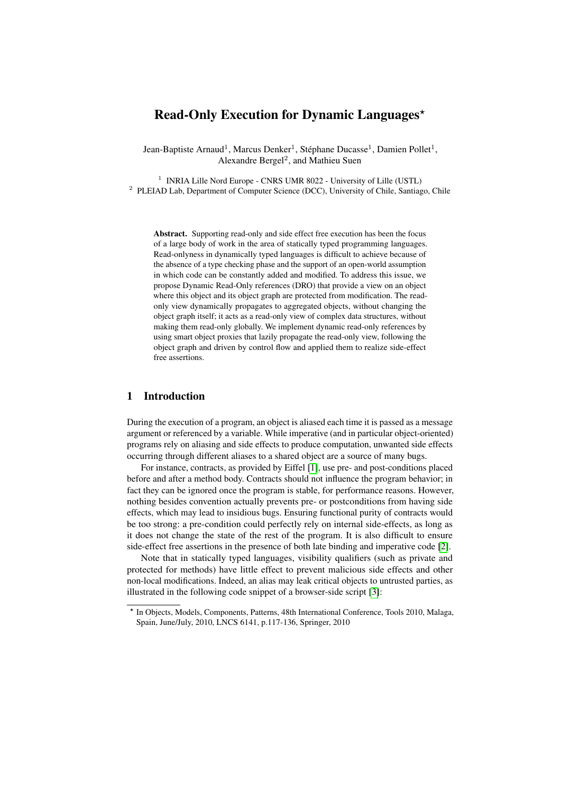# Read-Only Execution for Dynamic Languages<sup> $\star$ </sup>

Jean-Baptiste Arnaud<sup>1</sup>, Marcus Denker<sup>1</sup>, Stéphane Ducasse<sup>1</sup>, Damien Pollet<sup>1</sup>, Alexandre Bergel<sup>2</sup>, and Mathieu Suen

<sup>1</sup> INRIA Lille Nord Europe - CNRS UMR 8022 - University of Lille (USTL) <sup>2</sup> PLEIAD Lab, Department of Computer Science (DCC), University of Chile, Santiago, Chile

Abstract. Supporting read-only and side effect free execution has been the focus of a large body of work in the area of statically typed programming languages. Read-onlyness in dynamically typed languages is difficult to achieve because of the absence of a type checking phase and the support of an open-world assumption in which code can be constantly added and modified. To address this issue, we propose Dynamic Read-Only references (DRO) that provide a view on an object where this object and its object graph are protected from modification. The readonly view dynamically propagates to aggregated objects, without changing the object graph itself; it acts as a read-only view of complex data structures, without making them read-only globally. We implement dynamic read-only references by using smart object proxies that lazily propagate the read-only view, following the object graph and driven by control flow and applied them to realize side-effect free assertions.

## 1 Introduction

During the execution of a program, an object is aliased each time it is passed as a message argument or referenced by a variable. While imperative (and in particular object-oriented) programs rely on aliasing and side effects to produce computation, unwanted side effects occurring through different aliases to a shared object are a source of many bugs.

For instance, contracts, as provided by Eiffel [\[1\]](#page-16-0), use pre- and post-conditions placed before and after a method body. Contracts should not influence the program behavior; in fact they can be ignored once the program is stable, for performance reasons. However, nothing besides convention actually prevents pre- or postconditions from having side effects, which may lead to insidious bugs. Ensuring functional purity of contracts would be too strong: a pre-condition could perfectly rely on internal side-effects, as long as it does not change the state of the rest of the program. It is also difficult to ensure side-effect free assertions in the presence of both late binding and imperative code [\[2\]](#page-16-1).

Note that in statically typed languages, visibility qualifiers (such as private and protected for methods) have little effect to prevent malicious side effects and other non-local modifications. Indeed, an alias may leak critical objects to untrusted parties, as illustrated in the following code snippet of a browser-side script [\[3\]](#page-16-2):

<sup>⋆</sup> In Objects, Models, Components, Patterns, 48th International Conference, Tools 2010, Malaga, Spain, June/July, 2010, LNCS 6141, p.117-136, Springer, 2010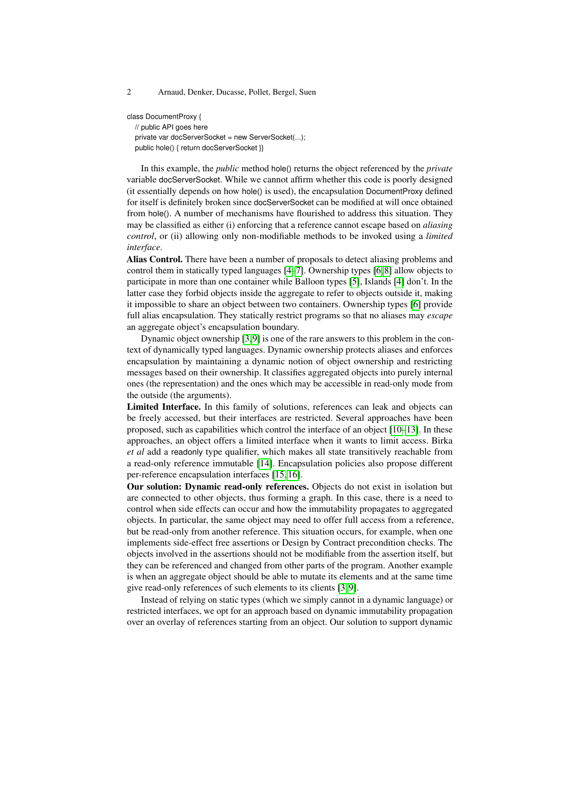class DocumentProxy {

// public API goes here private var docServerSocket = new ServerSocket(...); public hole() { return docServerSocket }}

In this example, the *public* method hole() returns the object referenced by the *private* variable docServerSocket. While we cannot affirm whether this code is poorly designed (it essentially depends on how hole() is used), the encapsulation DocumentProxy defined for itself is definitely broken since docServerSocket can be modified at will once obtained from hole(). A number of mechanisms have flourished to address this situation. They may be classified as either (i) enforcing that a reference cannot escape based on *aliasing control*, or (ii) allowing only non-modifiable methods to be invoked using a *limited interface*.

Alias Control. There have been a number of proposals to detect aliasing problems and control them in statically typed languages [\[4](#page-16-3)[–7\]](#page-16-4). Ownership types [\[6,](#page-16-5) [8\]](#page-16-6) allow objects to participate in more than one container while Balloon types [\[5\]](#page-16-7), Islands [\[4\]](#page-16-3) don't. In the latter case they forbid objects inside the aggregate to refer to objects outside it, making it impossible to share an object between two containers. Ownership types [\[6\]](#page-16-5) provide full alias encapsulation. They statically restrict programs so that no aliases may *escape* an aggregate object's encapsulation boundary.

Dynamic object ownership [\[3,](#page-16-2)[9\]](#page-16-8) is one of the rare answers to this problem in the context of dynamically typed languages. Dynamic ownership protects aliases and enforces encapsulation by maintaining a dynamic notion of object ownership and restricting messages based on their ownership. It classifies aggregated objects into purely internal ones (the representation) and the ones which may be accessible in read-only mode from the outside (the arguments).

Limited Interface. In this family of solutions, references can leak and objects can be freely accessed, but their interfaces are restricted. Several approaches have been proposed, such as capabilities which control the interface of an object [\[10](#page-16-9)[–13\]](#page-16-10). In these approaches, an object offers a limited interface when it wants to limit access. Birka *et al* add a readonly type qualifier, which makes all state transitively reachable from a read-only reference immutable [\[14\]](#page-16-11). Encapsulation policies also propose different per-reference encapsulation interfaces [\[15,](#page-17-0) [16\]](#page-17-1).

Our solution: Dynamic read-only references. Objects do not exist in isolation but are connected to other objects, thus forming a graph. In this case, there is a need to control when side effects can occur and how the immutability propagates to aggregated objects. In particular, the same object may need to offer full access from a reference, but be read-only from another reference. This situation occurs, for example, when one implements side-effect free assertions or Design by Contract precondition checks. The objects involved in the assertions should not be modifiable from the assertion itself, but they can be referenced and changed from other parts of the program. Another example is when an aggregate object should be able to mutate its elements and at the same time give read-only references of such elements to its clients [\[3,](#page-16-2) [9\]](#page-16-8).

Instead of relying on static types (which we simply cannot in a dynamic language) or restricted interfaces, we opt for an approach based on dynamic immutability propagation over an overlay of references starting from an object. Our solution to support dynamic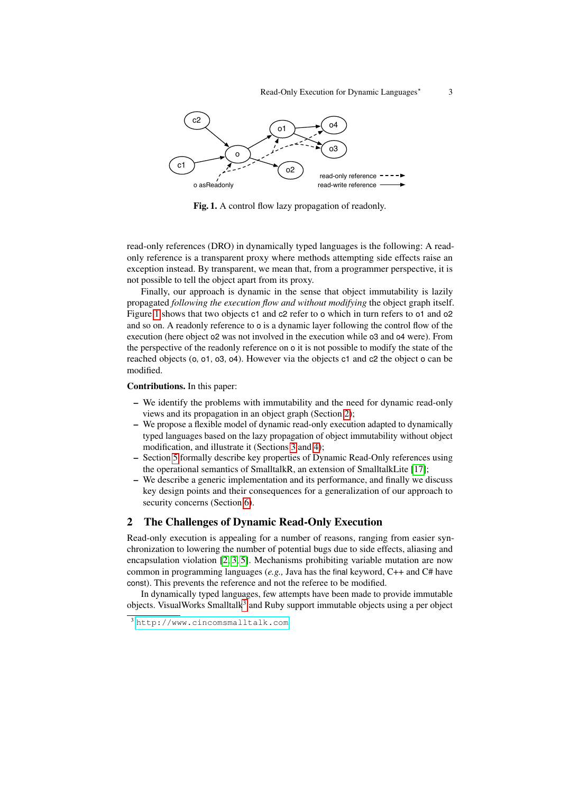

<span id="page-2-0"></span>Fig. 1. A control flow lazy propagation of readonly.

read-only references (DRO) in dynamically typed languages is the following: A readonly reference is a transparent proxy where methods attempting side effects raise an exception instead. By transparent, we mean that, from a programmer perspective, it is not possible to tell the object apart from its proxy.

Finally, our approach is dynamic in the sense that object immutability is lazily propagated *following the execution flow and without modifying* the object graph itself. Figure [1](#page-2-0) shows that two objects c1 and c2 refer to o which in turn refers to 01 and 02 and so on. A readonly reference to o is a dynamic layer following the control flow of the execution (here object o2 was not involved in the execution while o3 and o4 were). From the perspective of the readonly reference on o it is not possible to modify the state of the reached objects (o, o1, o3, o4). However via the objects c1 and c2 the object o can be modified.

## Contributions. In this paper:

- We identify the problems with immutability and the need for dynamic read-only views and its propagation in an object graph (Section [2\)](#page-2-1);
- We propose a flexible model of dynamic read-only execution adapted to dynamically typed languages based on the lazy propagation of object immutability without object modification, and illustrate it (Sections [3](#page-3-0) and [4\)](#page-7-0);
- Section [5](#page-9-0) formally describe key properties of Dynamic Read-Only references using the operational semantics of SmalltalkR, an extension of SmalltalkLite [\[17\]](#page-17-2);
- We describe a generic implementation and its performance, and finally we discuss key design points and their consequences for a generalization of our approach to security concerns (Section [6\)](#page-10-0).

## <span id="page-2-1"></span>2 The Challenges of Dynamic Read-Only Execution

Read-only execution is appealing for a number of reasons, ranging from easier synchronization to lowering the number of potential bugs due to side effects, aliasing and encapsulation violation [\[2,](#page-16-1) [3,](#page-16-2) [5\]](#page-16-7). Mechanisms prohibiting variable mutation are now common in programming languages (*e.g.,* Java has the final keyword, C++ and C# have const). This prevents the reference and not the referee to be modified.

In dynamically typed languages, few attempts have been made to provide immutable objects. VisualWorks Smalltalk<sup>[3](#page-2-2)</sup> and Ruby support immutable objects using a per object

<span id="page-2-2"></span><sup>3</sup> <http://www.cincomsmalltalk.com>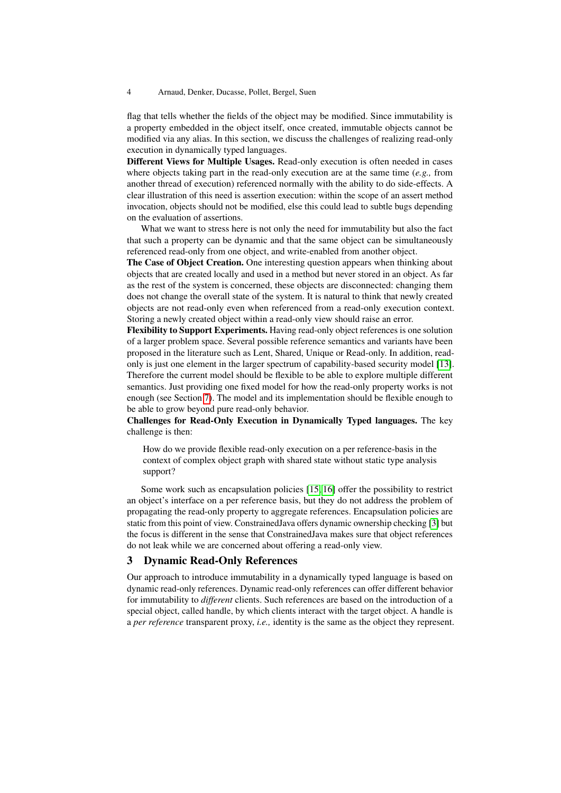flag that tells whether the fields of the object may be modified. Since immutability is a property embedded in the object itself, once created, immutable objects cannot be modified via any alias. In this section, we discuss the challenges of realizing read-only execution in dynamically typed languages.

Different Views for Multiple Usages. Read-only execution is often needed in cases where objects taking part in the read-only execution are at the same time (*e.g.,* from another thread of execution) referenced normally with the ability to do side-effects. A clear illustration of this need is assertion execution: within the scope of an assert method invocation, objects should not be modified, else this could lead to subtle bugs depending on the evaluation of assertions.

What we want to stress here is not only the need for immutability but also the fact that such a property can be dynamic and that the same object can be simultaneously referenced read-only from one object, and write-enabled from another object.

The Case of Object Creation. One interesting question appears when thinking about objects that are created locally and used in a method but never stored in an object. As far as the rest of the system is concerned, these objects are disconnected: changing them does not change the overall state of the system. It is natural to think that newly created objects are not read-only even when referenced from a read-only execution context. Storing a newly created object within a read-only view should raise an error.

Flexibility to Support Experiments. Having read-only object references is one solution of a larger problem space. Several possible reference semantics and variants have been proposed in the literature such as Lent, Shared, Unique or Read-only. In addition, readonly is just one element in the larger spectrum of capability-based security model [\[13\]](#page-16-10). Therefore the current model should be flexible to be able to explore multiple different semantics. Just providing one fixed model for how the read-only property works is not enough (see Section [7\)](#page-12-0). The model and its implementation should be flexible enough to be able to grow beyond pure read-only behavior.

Challenges for Read-Only Execution in Dynamically Typed languages. The key challenge is then:

How do we provide flexible read-only execution on a per reference-basis in the context of complex object graph with shared state without static type analysis support?

Some work such as encapsulation policies [\[15,](#page-17-0) [16\]](#page-17-1) offer the possibility to restrict an object's interface on a per reference basis, but they do not address the problem of propagating the read-only property to aggregate references. Encapsulation policies are static from this point of view. ConstrainedJava offers dynamic ownership checking [\[3\]](#page-16-2) but the focus is different in the sense that ConstrainedJava makes sure that object references do not leak while we are concerned about offering a read-only view.

## <span id="page-3-0"></span>3 Dynamic Read-Only References

Our approach to introduce immutability in a dynamically typed language is based on dynamic read-only references. Dynamic read-only references can offer different behavior for immutability to *different* clients. Such references are based on the introduction of a special object, called handle, by which clients interact with the target object. A handle is a *per reference* transparent proxy, *i.e.,* identity is the same as the object they represent.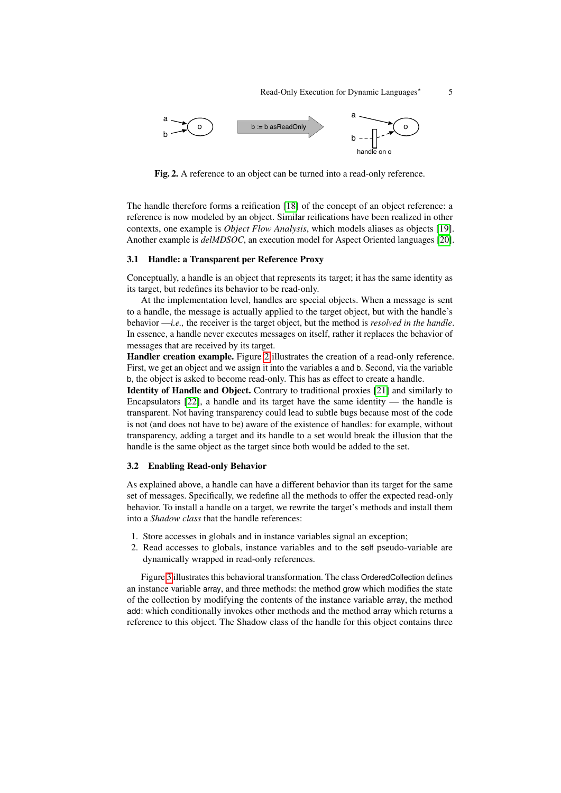

<span id="page-4-0"></span>Fig. 2. A reference to an object can be turned into a read-only reference.

The handle therefore forms a reification [\[18\]](#page-17-3) of the concept of an object reference: a reference is now modeled by an object. Similar reifications have been realized in other contexts, one example is *Object Flow Analysis*, which models aliases as objects [\[19\]](#page-17-4). Another example is *delMDSOC*, an execution model for Aspect Oriented languages [\[20\]](#page-17-5).

### 3.1 Handle: a Transparent per Reference Proxy

Conceptually, a handle is an object that represents its target; it has the same identity as its target, but redefines its behavior to be read-only.

At the implementation level, handles are special objects. When a message is sent to a handle, the message is actually applied to the target object, but with the handle's behavior —*i.e.,* the receiver is the target object, but the method is *resolved in the handle*. In essence, a handle never executes messages on itself, rather it replaces the behavior of messages that are received by its target.

Handler creation example. Figure [2](#page-4-0) illustrates the creation of a read-only reference. First, we get an object and we assign it into the variables a and b. Second, via the variable b, the object is asked to become read-only. This has as effect to create a handle.

Identity of Handle and Object. Contrary to traditional proxies [\[21\]](#page-17-6) and similarly to Encapsulators  $[22]$ , a handle and its target have the same identity — the handle is transparent. Not having transparency could lead to subtle bugs because most of the code is not (and does not have to be) aware of the existence of handles: for example, without transparency, adding a target and its handle to a set would break the illusion that the handle is the same object as the target since both would be added to the set.

#### <span id="page-4-1"></span>3.2 Enabling Read-only Behavior

As explained above, a handle can have a different behavior than its target for the same set of messages. Specifically, we redefine all the methods to offer the expected read-only behavior. To install a handle on a target, we rewrite the target's methods and install them into a *Shadow class* that the handle references:

- 1. Store accesses in globals and in instance variables signal an exception;
- 2. Read accesses to globals, instance variables and to the self pseudo-variable are dynamically wrapped in read-only references.

Figure [3](#page-5-0) illustrates this behavioral transformation. The class OrderedCollection defines an instance variable array, and three methods: the method grow which modifies the state of the collection by modifying the contents of the instance variable array, the method add: which conditionally invokes other methods and the method array which returns a reference to this object. The Shadow class of the handle for this object contains three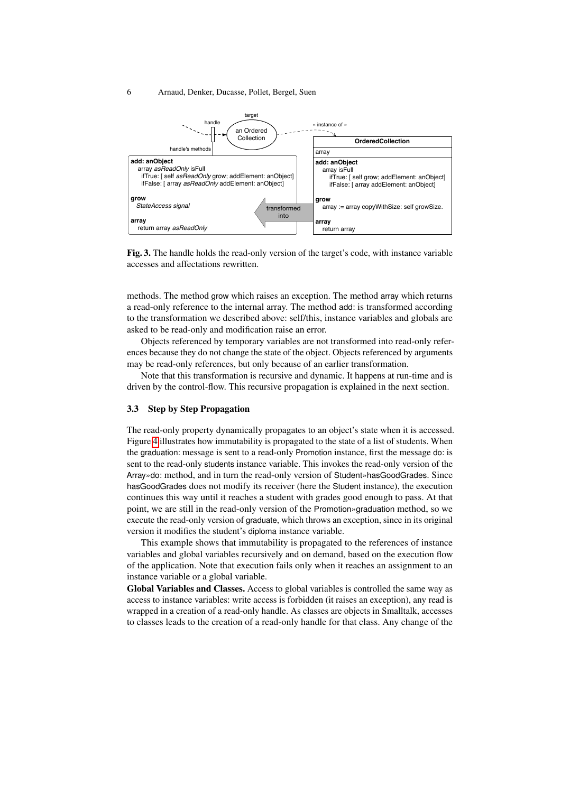

<span id="page-5-0"></span>Fig. 3. The handle holds the read-only version of the target's code, with instance variable accesses and affectations rewritten.

methods. The method grow which raises an exception. The method array which returns a read-only reference to the internal array. The method add: is transformed according to the transformation we described above: self/this, instance variables and globals are asked to be read-only and modification raise an error.

Objects referenced by temporary variables are not transformed into read-only references because they do not change the state of the object. Objects referenced by arguments may be read-only references, but only because of an earlier transformation.

Note that this transformation is recursive and dynamic. It happens at run-time and is driven by the control-flow. This recursive propagation is explained in the next section.

### 3.3 Step by Step Propagation

The read-only property dynamically propagates to an object's state when it is accessed. Figure [4](#page-6-0) illustrates how immutability is propagated to the state of a list of students. When the graduation: message is sent to a read-only Promotion instance, first the message do: is sent to the read-only students instance variable. This invokes the read-only version of the Array»do: method, and in turn the read-only version of Student»hasGoodGrades. Since hasGoodGrades does not modify its receiver (here the Student instance), the execution continues this way until it reaches a student with grades good enough to pass. At that point, we are still in the read-only version of the Promotion»graduation method, so we execute the read-only version of graduate, which throws an exception, since in its original version it modifies the student's diploma instance variable.

This example shows that immutability is propagated to the references of instance variables and global variables recursively and on demand, based on the execution flow of the application. Note that execution fails only when it reaches an assignment to an instance variable or a global variable.

Global Variables and Classes. Access to global variables is controlled the same way as access to instance variables: write access is forbidden (it raises an exception), any read is wrapped in a creation of a read-only handle. As classes are objects in Smalltalk, accesses to classes leads to the creation of a read-only handle for that class. Any change of the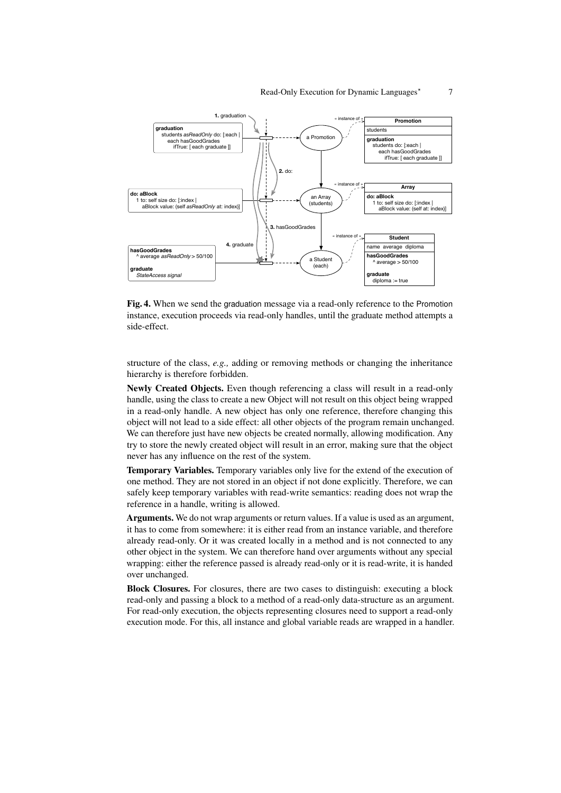

<span id="page-6-0"></span>Fig. 4. When we send the graduation message via a read-only reference to the Promotion instance, execution proceeds via read-only handles, until the graduate method attempts a side-effect.

structure of the class, *e.g.,* adding or removing methods or changing the inheritance hierarchy is therefore forbidden.

Newly Created Objects. Even though referencing a class will result in a read-only handle, using the class to create a new Object will not result on this object being wrapped in a read-only handle. A new object has only one reference, therefore changing this object will not lead to a side effect: all other objects of the program remain unchanged. We can therefore just have new objects be created normally, allowing modification. Any try to store the newly created object will result in an error, making sure that the object never has any influence on the rest of the system.

Temporary Variables. Temporary variables only live for the extend of the execution of one method. They are not stored in an object if not done explicitly. Therefore, we can safely keep temporary variables with read-write semantics: reading does not wrap the reference in a handle, writing is allowed.

Arguments. We do not wrap arguments or return values. If a value is used as an argument, it has to come from somewhere: it is either read from an instance variable, and therefore already read-only. Or it was created locally in a method and is not connected to any other object in the system. We can therefore hand over arguments without any special wrapping: either the reference passed is already read-only or it is read-write, it is handed over unchanged.

Block Closures. For closures, there are two cases to distinguish: executing a block read-only and passing a block to a method of a read-only data-structure as an argument. For read-only execution, the objects representing closures need to support a read-only execution mode. For this, all instance and global variable reads are wrapped in a handler.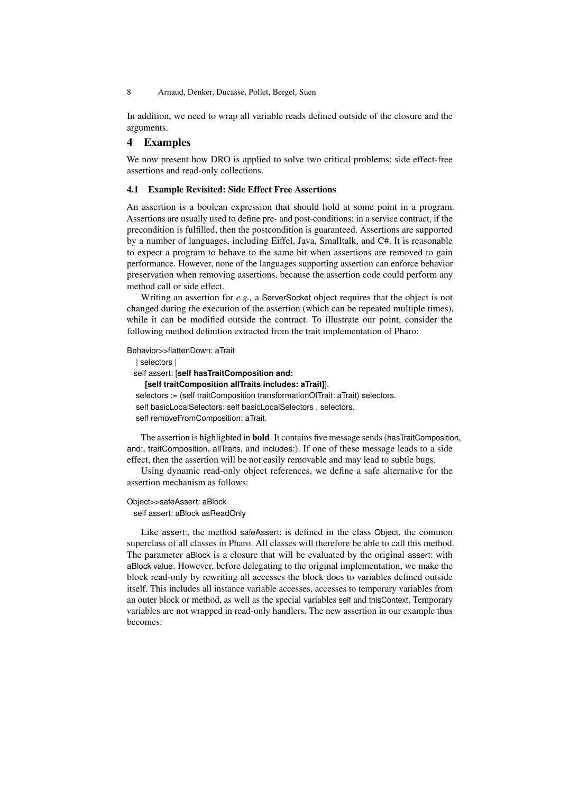In addition, we need to wrap all variable reads defined outside of the closure and the arguments.

## <span id="page-7-0"></span>4 Examples

We now present how DRO is applied to solve two critical problems: side effect-free assertions and read-only collections.

### 4.1 Example Revisited: Side Effect Free Assertions

An assertion is a boolean expression that should hold at some point in a program. Assertions are usually used to define pre- and post-conditions: in a service contract, if the precondition is fulfilled, then the postcondition is guaranteed. Assertions are supported by a number of languages, including Eiffel, Java, Smalltalk, and C#. It is reasonable to expect a program to behave to the same bit when assertions are removed to gain performance. However, none of the languages supporting assertion can enforce behavior preservation when removing assertions, because the assertion code could perform any method call or side effect.

Writing an assertion for *e.g.,* a ServerSocket object requires that the object is not changed during the execution of the assertion (which can be repeated multiple times), while it can be modified outside the contract. To illustrate our point, consider the following method definition extracted from the trait implementation of Pharo:

Behavior>>flattenDown: aTrait

```
| selectors |
self assert: [self hasTraitComposition and:
   [self traitComposition allTraits includes: aTrait]].
selectors := (self traitComposition transformationOfTrait: aTrait) selectors.
self basicLocalSelectors: self basicLocalSelectors , selectors.
self removeFromComposition: aTrait.
```
The assertion is highlighted in bold. It contains five message sends (hasTraitComposition, and:, traitComposition, allTraits, and includes:). If one of these message leads to a side effect, then the assertion will be not easily removable and may lead to subtle bugs.

Using dynamic read-only object references, we define a safe alternative for the assertion mechanism as follows:

#### Object>>safeAssert: aBlock

self assert: aBlock asReadOnly

Like assert:, the method safeAssert: is defined in the class Object, the common superclass of all classes in Pharo. All classes will therefore be able to call this method. The parameter aBlock is a closure that will be evaluated by the original assert: with aBlock value. However, before delegating to the original implementation, we make the block read-only by rewriting all accesses the block does to variables defined outside itself. This includes all instance variable accesses, accesses to temporary variables from an outer block or method, as well as the special variables self and thisContext. Temporary variables are not wrapped in read-only handlers. The new assertion in our example thus becomes: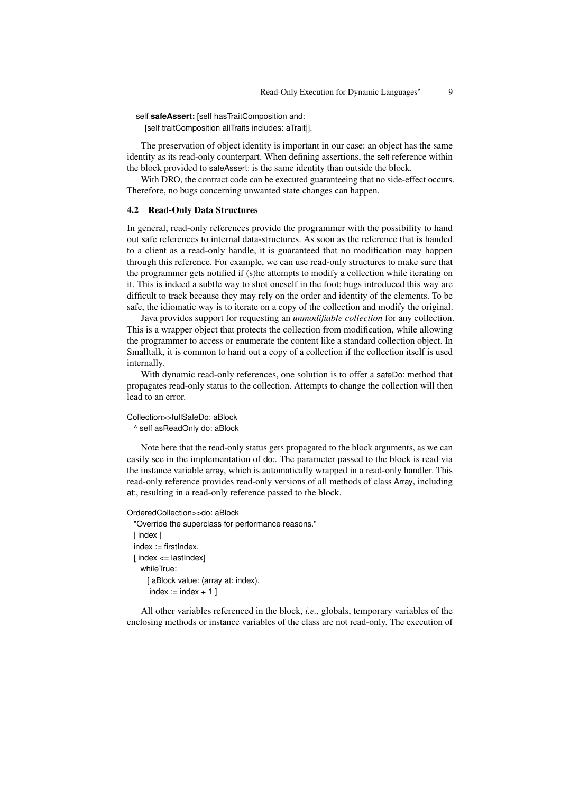self **safeAssert:** [self hasTraitComposition and: [self traitComposition allTraits includes: aTrait]].

The preservation of object identity is important in our case: an object has the same identity as its read-only counterpart. When defining assertions, the self reference within the block provided to safeAssert: is the same identity than outside the block.

With DRO, the contract code can be executed guaranteeing that no side-effect occurs. Therefore, no bugs concerning unwanted state changes can happen.

### 4.2 Read-Only Data Structures

In general, read-only references provide the programmer with the possibility to hand out safe references to internal data-structures. As soon as the reference that is handed to a client as a read-only handle, it is guaranteed that no modification may happen through this reference. For example, we can use read-only structures to make sure that the programmer gets notified if (s)he attempts to modify a collection while iterating on it. This is indeed a subtle way to shot oneself in the foot; bugs introduced this way are difficult to track because they may rely on the order and identity of the elements. To be safe, the idiomatic way is to iterate on a copy of the collection and modify the original.

Java provides support for requesting an *unmodifiable collection* for any collection. This is a wrapper object that protects the collection from modification, while allowing the programmer to access or enumerate the content like a standard collection object. In Smalltalk, it is common to hand out a copy of a collection if the collection itself is used internally.

With dynamic read-only references, one solution is to offer a safeDo: method that propagates read-only status to the collection. Attempts to change the collection will then lead to an error.

```
Collection>>fullSafeDo: aBlock
```
^ self asReadOnly do: aBlock

Note here that the read-only status gets propagated to the block arguments, as we can easily see in the implementation of do:. The parameter passed to the block is read via the instance variable array, which is automatically wrapped in a read-only handler. This read-only reference provides read-only versions of all methods of class Array, including at:, resulting in a read-only reference passed to the block.

OrderedCollection>>do: aBlock

```
"Override the superclass for performance reasons."
| index |
index := firstIndex.
[ index \leq last lndex ]whileTrue:
   [ aBlock value: (array at: index).
    index := index + 1
```
All other variables referenced in the block, *i.e.,* globals, temporary variables of the enclosing methods or instance variables of the class are not read-only. The execution of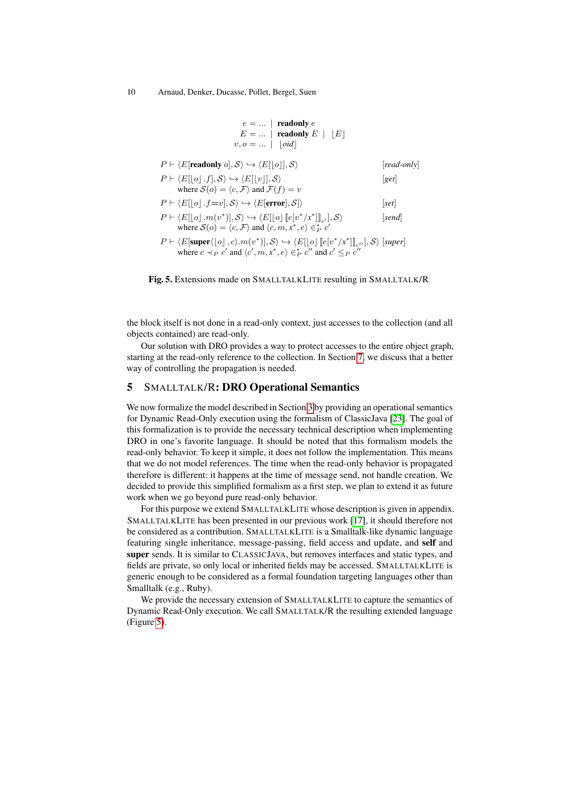$$
e = \dots \mid \text{readonly } e
$$
  
\n
$$
E = \dots \mid \text{readonly } E \mid [E]
$$
  
\n
$$
v, o = \dots \mid [oid]
$$
  
\n
$$
P \vdash \langle E[\text{readonly } o], S \rangle \hookrightarrow \langle E[[o]], S \rangle \qquad [read-only]
$$
  
\n
$$
P \vdash \langle E[[o], f], S \rangle \hookrightarrow \langle E[[v]], S \rangle \qquad [gel]
$$
  
\nwhere  $S(o) = \langle c, \mathcal{F} \rangle$  and  $\mathcal{F}(f) = v$   
\n
$$
P \vdash \langle E[[o], f=v], S \rangle \hookrightarrow \langle E[\text{error}], S] \rangle \qquad [sel]
$$
  
\n
$$
P \vdash \langle E[[o], m(v^*)], S \rangle \hookrightarrow \langle E[[o], [[e[v^*/x^*]]_{c'}], S \rangle \qquad [send]
$$
  
\nwhere  $S(o) = \langle c, \mathcal{F} \rangle$  and  $\langle c, m, x^*, e \rangle \in_P^* c'$   
\n
$$
P \vdash \langle E[\text{super} \langle [o], c \rangle.m(v^*)], S \rangle \hookrightarrow \langle E[[o], [[e[v^*/x^*]]_{c''}], S \rangle [super]
$$
  
\nwhere  $c \prec_P c'$  and  $\langle c', m, x^*, e \rangle \in_P^* c''$  and  $c' \leq_P c''$ 

<span id="page-9-1"></span>Fig. 5. Extensions made on SMALLTALKLITE resulting in SMALLTALK/R

the block itself is not done in a read-only context, just accesses to the collection (and all objects contained) are read-only.

Our solution with DRO provides a way to protect accesses to the entire object graph, starting at the read-only reference to the collection. In Section [7,](#page-12-0) we discuss that a better way of controlling the propagation is needed.

## <span id="page-9-0"></span>5 SMALLTALK/R: DRO Operational Semantics

We now formalize the model described in Section [3](#page-3-0) by providing an operational semantics for Dynamic Read-Only execution using the formalism of ClassicJava [\[23\]](#page-17-8). The goal of this formalization is to provide the necessary technical description when implementing DRO in one's favorite language. It should be noted that this formalism models the read-only behavior. To keep it simple, it does not follow the implementation. This means that we do not model references. The time when the read-only behavior is propagated therefore is different: it happens at the time of message send, not handle creation. We decided to provide this simplified formalism as a first step, we plan to extend it as future work when we go beyond pure read-only behavior.

For this purpose we extend SMALLTALKLITE whose description is given in appendix. SMALLTALKLITE has been presented in our previous work [\[17\]](#page-17-2), it should therefore not be considered as a contribution. SMALLTALKLITE is a Smalltalk-like dynamic language featuring single inheritance, message-passing, field access and update, and self and super sends. It is similar to CLASSICJAVA, but removes interfaces and static types, and fields are private, so only local or inherited fields may be accessed. SMALLTALKLITE is generic enough to be considered as a formal foundation targeting languages other than Smalltalk (e.g., Ruby).

We provide the necessary extension of SMALLTALKLITE to capture the semantics of Dynamic Read-Only execution. We call SMALLTALK/R the resulting extended language (Figure [5\)](#page-9-1).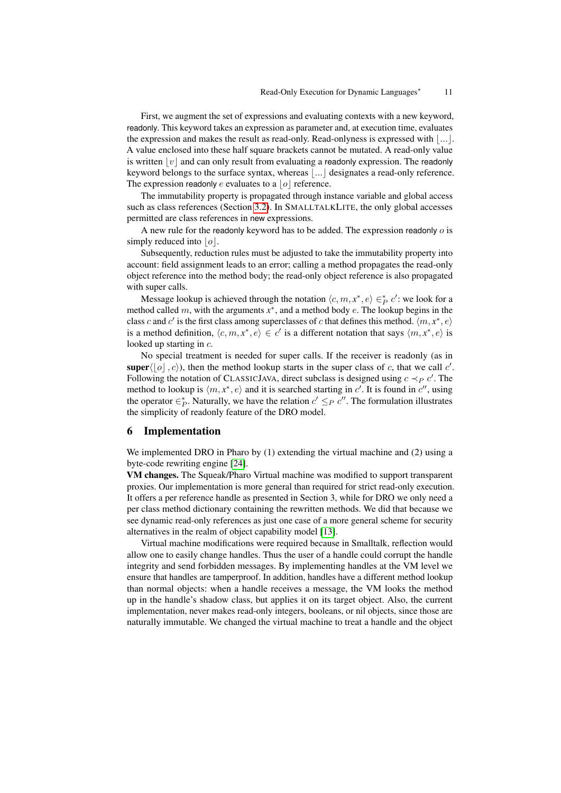First, we augment the set of expressions and evaluating contexts with a new keyword, readonly. This keyword takes an expression as parameter and, at execution time, evaluates the expression and makes the result as read-only. Read-onlyness is expressed with  $|...|$ . A value enclosed into these half square brackets cannot be mutated. A read-only value is written  $|v|$  and can only result from evaluating a readonly expression. The readonly keyword belongs to the surface syntax, whereas  $\vert \dots \vert$  designates a read-only reference. The expression readonly  $e$  evaluates to a  $|o|$  reference.

The immutability property is propagated through instance variable and global access such as class references (Section [3.2\)](#page-4-1). In SMALLTALKLITE, the only global accesses permitted are class references in new expressions.

A new rule for the readonly keyword has to be added. The expression readonly  $\sigma$  is simply reduced into  $|o|$ .

Subsequently, reduction rules must be adjusted to take the immutability property into account: field assignment leads to an error; calling a method propagates the read-only object reference into the method body; the read-only object reference is also propagated with super calls.

Message lookup is achieved through the notation  $\langle c, m, x^*, e \rangle \in_{P}^* c'$ : we look for a method called m, with the arguments  $x^*$ , and a method body e. The lookup begins in the class c and c' is the first class among superclasses of c that defines this method.  $\langle m, x^*, e \rangle$ is a method definition,  $\langle c, m, x^*, e \rangle \in c'$  is a different notation that says  $\langle m, x^*, e \rangle$  is looked up starting in  $c$ .

No special treatment is needed for super calls. If the receiver is readonly (as in super $\langle \begin{bmatrix} 0 \end{bmatrix}, c \rangle$ ), then the method lookup starts in the super class of c, that we call c'. Following the notation of CLASSICJAVA, direct subclass is designed using  $c \prec_P c'$ . The method to lookup is  $\langle m, x^*, e \rangle$  and it is searched starting in c'. It is found in c'', using the operator  $\epsilon_p^*$ . Naturally, we have the relation  $c' \leq_P c''$ . The formulation illustrates the simplicity of readonly feature of the DRO model.

### <span id="page-10-0"></span>6 Implementation

We implemented DRO in Pharo by (1) extending the virtual machine and (2) using a byte-code rewriting engine [\[24\]](#page-17-9).

VM changes. The Squeak/Pharo Virtual machine was modified to support transparent proxies. Our implementation is more general than required for strict read-only execution. It offers a per reference handle as presented in Section 3, while for DRO we only need a per class method dictionary containing the rewritten methods. We did that because we see dynamic read-only references as just one case of a more general scheme for security alternatives in the realm of object capability model [\[13\]](#page-16-10).

Virtual machine modifications were required because in Smalltalk, reflection would allow one to easily change handles. Thus the user of a handle could corrupt the handle integrity and send forbidden messages. By implementing handles at the VM level we ensure that handles are tamperproof. In addition, handles have a different method lookup than normal objects: when a handle receives a message, the VM looks the method up in the handle's shadow class, but applies it on its target object. Also, the current implementation, never makes read-only integers, booleans, or nil objects, since those are naturally immutable. We changed the virtual machine to treat a handle and the object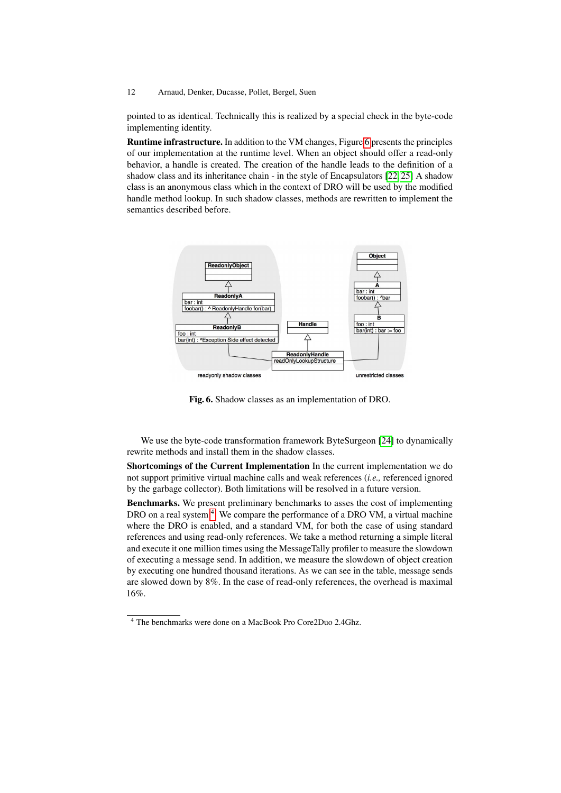pointed to as identical. Technically this is realized by a special check in the byte-code implementing identity.

Runtime infrastructure. In addition to the VM changes, Figure [6](#page-11-0) presents the principles of our implementation at the runtime level. When an object should offer a read-only behavior, a handle is created. The creation of the handle leads to the definition of a shadow class and its inheritance chain - in the style of Encapsulators [\[22,](#page-17-7) [25\]](#page-17-10) A shadow class is an anonymous class which in the context of DRO will be used by the modified handle method lookup. In such shadow classes, methods are rewritten to implement the semantics described before.



<span id="page-11-0"></span>Fig. 6. Shadow classes as an implementation of DRO.

We use the byte-code transformation framework ByteSurgeon [\[24\]](#page-17-9) to dynamically rewrite methods and install them in the shadow classes.

Shortcomings of the Current Implementation In the current implementation we do not support primitive virtual machine calls and weak references (*i.e.,* referenced ignored by the garbage collector). Both limitations will be resolved in a future version.

Benchmarks. We present preliminary benchmarks to asses the cost of implementing DRO on a real system <sup>[4](#page-11-1)</sup>. We compare the performance of a DRO VM, a virtual machine where the DRO is enabled, and a standard VM, for both the case of using standard references and using read-only references. We take a method returning a simple literal and execute it one million times using the MessageTally profiler to measure the slowdown of executing a message send. In addition, we measure the slowdown of object creation by executing one hundred thousand iterations. As we can see in the table, message sends are slowed down by 8%. In the case of read-only references, the overhead is maximal 16%.

<span id="page-11-1"></span><sup>4</sup> The benchmarks were done on a MacBook Pro Core2Duo 2.4Ghz.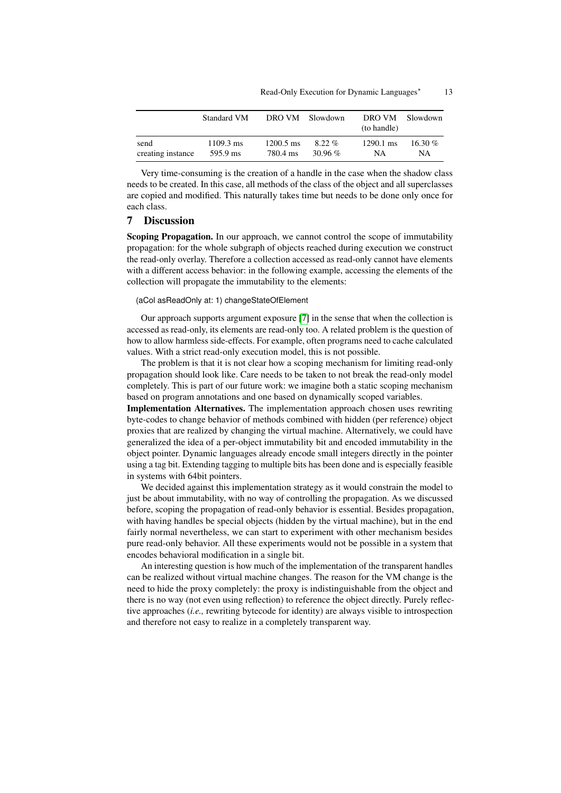|                   | Standard VM         |                     | DRO VM Slowdown | DRO VM<br>(to handle) | Slowdown  |
|-------------------|---------------------|---------------------|-----------------|-----------------------|-----------|
| send              | $1109.3 \text{ ms}$ | $1200.5 \text{ ms}$ | $8.22\%$        | $1290.1 \text{ ms}$   | 16.30 $%$ |
| creating instance | 595.9 ms            | 780.4 ms            | 30.96 $%$       | NA                    | NΑ        |

Very time-consuming is the creation of a handle in the case when the shadow class needs to be created. In this case, all methods of the class of the object and all superclasses are copied and modified. This naturally takes time but needs to be done only once for each class.

## <span id="page-12-0"></span>7 Discussion

Scoping Propagation. In our approach, we cannot control the scope of immutability propagation: for the whole subgraph of objects reached during execution we construct the read-only overlay. Therefore a collection accessed as read-only cannot have elements with a different access behavior: in the following example, accessing the elements of the collection will propagate the immutability to the elements:

#### (aCol asReadOnly at: 1) changeStateOfElement

Our approach supports argument exposure [\[7\]](#page-16-4) in the sense that when the collection is accessed as read-only, its elements are read-only too. A related problem is the question of how to allow harmless side-effects. For example, often programs need to cache calculated values. With a strict read-only execution model, this is not possible.

The problem is that it is not clear how a scoping mechanism for limiting read-only propagation should look like. Care needs to be taken to not break the read-only model completely. This is part of our future work: we imagine both a static scoping mechanism based on program annotations and one based on dynamically scoped variables.

Implementation Alternatives. The implementation approach chosen uses rewriting byte-codes to change behavior of methods combined with hidden (per reference) object proxies that are realized by changing the virtual machine. Alternatively, we could have generalized the idea of a per-object immutability bit and encoded immutability in the object pointer. Dynamic languages already encode small integers directly in the pointer using a tag bit. Extending tagging to multiple bits has been done and is especially feasible in systems with 64bit pointers.

We decided against this implementation strategy as it would constrain the model to just be about immutability, with no way of controlling the propagation. As we discussed before, scoping the propagation of read-only behavior is essential. Besides propagation, with having handles be special objects (hidden by the virtual machine), but in the end fairly normal nevertheless, we can start to experiment with other mechanism besides pure read-only behavior. All these experiments would not be possible in a system that encodes behavioral modification in a single bit.

An interesting question is how much of the implementation of the transparent handles can be realized without virtual machine changes. The reason for the VM change is the need to hide the proxy completely: the proxy is indistinguishable from the object and there is no way (not even using reflection) to reference the object directly. Purely reflective approaches (*i.e.,* rewriting bytecode for identity) are always visible to introspection and therefore not easy to realize in a completely transparent way.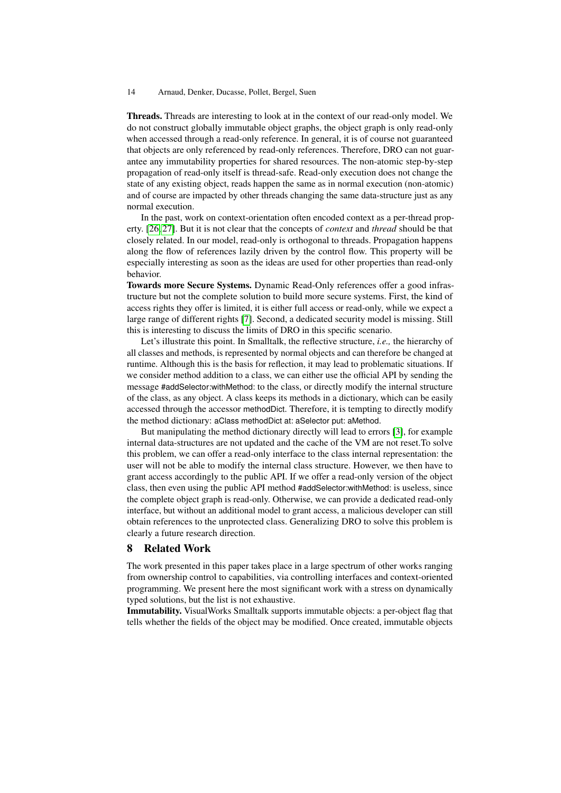Threads. Threads are interesting to look at in the context of our read-only model. We do not construct globally immutable object graphs, the object graph is only read-only when accessed through a read-only reference. In general, it is of course not guaranteed that objects are only referenced by read-only references. Therefore, DRO can not guarantee any immutability properties for shared resources. The non-atomic step-by-step propagation of read-only itself is thread-safe. Read-only execution does not change the state of any existing object, reads happen the same as in normal execution (non-atomic) and of course are impacted by other threads changing the same data-structure just as any normal execution.

In the past, work on context-orientation often encoded context as a per-thread property. [\[26,](#page-17-11) [27\]](#page-17-12). But it is not clear that the concepts of *context* and *thread* should be that closely related. In our model, read-only is orthogonal to threads. Propagation happens along the flow of references lazily driven by the control flow. This property will be especially interesting as soon as the ideas are used for other properties than read-only behavior.

Towards more Secure Systems. Dynamic Read-Only references offer a good infrastructure but not the complete solution to build more secure systems. First, the kind of access rights they offer is limited, it is either full access or read-only, while we expect a large range of different rights [\[7\]](#page-16-4). Second, a dedicated security model is missing. Still this is interesting to discuss the limits of DRO in this specific scenario.

Let's illustrate this point. In Smalltalk, the reflective structure, *i.e.,* the hierarchy of all classes and methods, is represented by normal objects and can therefore be changed at runtime. Although this is the basis for reflection, it may lead to problematic situations. If we consider method addition to a class, we can either use the official API by sending the message #addSelector:withMethod: to the class, or directly modify the internal structure of the class, as any object. A class keeps its methods in a dictionary, which can be easily accessed through the accessor methodDict. Therefore, it is tempting to directly modify the method dictionary: aClass methodDict at: aSelector put: aMethod.

But manipulating the method dictionary directly will lead to errors [\[3\]](#page-16-2), for example internal data-structures are not updated and the cache of the VM are not reset.To solve this problem, we can offer a read-only interface to the class internal representation: the user will not be able to modify the internal class structure. However, we then have to grant access accordingly to the public API. If we offer a read-only version of the object class, then even using the public API method #addSelector:withMethod: is useless, since the complete object graph is read-only. Otherwise, we can provide a dedicated read-only interface, but without an additional model to grant access, a malicious developer can still obtain references to the unprotected class. Generalizing DRO to solve this problem is clearly a future research direction.

### 8 Related Work

The work presented in this paper takes place in a large spectrum of other works ranging from ownership control to capabilities, via controlling interfaces and context-oriented programming. We present here the most significant work with a stress on dynamically typed solutions, but the list is not exhaustive.

Immutability. VisualWorks Smalltalk supports immutable objects: a per-object flag that tells whether the fields of the object may be modified. Once created, immutable objects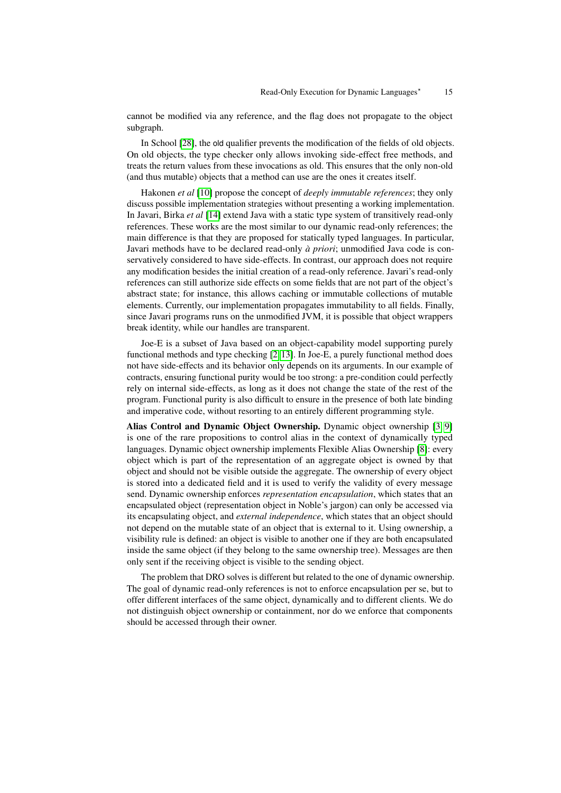cannot be modified via any reference, and the flag does not propagate to the object subgraph.

In School [\[28\]](#page-17-13), the old qualifier prevents the modification of the fields of old objects. On old objects, the type checker only allows invoking side-effect free methods, and treats the return values from these invocations as old. This ensures that the only non-old (and thus mutable) objects that a method can use are the ones it creates itself.

Hakonen *et al* [\[10\]](#page-16-9) propose the concept of *deeply immutable references*; they only discuss possible implementation strategies without presenting a working implementation. In Javari, Birka *et al* [\[14\]](#page-16-11) extend Java with a static type system of transitively read-only references. These works are the most similar to our dynamic read-only references; the main difference is that they are proposed for statically typed languages. In particular, Javari methods have to be declared read-only *à priori*; unmodified Java code is conservatively considered to have side-effects. In contrast, our approach does not require any modification besides the initial creation of a read-only reference. Javari's read-only references can still authorize side effects on some fields that are not part of the object's abstract state; for instance, this allows caching or immutable collections of mutable elements. Currently, our implementation propagates immutability to all fields. Finally, since Javari programs runs on the unmodified JVM, it is possible that object wrappers break identity, while our handles are transparent.

Joe-E is a subset of Java based on an object-capability model supporting purely functional methods and type checking [\[2,](#page-16-1) [13\]](#page-16-10). In Joe-E, a purely functional method does not have side-effects and its behavior only depends on its arguments. In our example of contracts, ensuring functional purity would be too strong: a pre-condition could perfectly rely on internal side-effects, as long as it does not change the state of the rest of the program. Functional purity is also difficult to ensure in the presence of both late binding and imperative code, without resorting to an entirely different programming style.

Alias Control and Dynamic Object Ownership. Dynamic object ownership [\[3,](#page-16-2) [9\]](#page-16-8) is one of the rare propositions to control alias in the context of dynamically typed languages. Dynamic object ownership implements Flexible Alias Ownership [\[8\]](#page-16-6): every object which is part of the representation of an aggregate object is owned by that object and should not be visible outside the aggregate. The ownership of every object is stored into a dedicated field and it is used to verify the validity of every message send. Dynamic ownership enforces *representation encapsulation*, which states that an encapsulated object (representation object in Noble's jargon) can only be accessed via its encapsulating object, and *external independence*, which states that an object should not depend on the mutable state of an object that is external to it. Using ownership, a visibility rule is defined: an object is visible to another one if they are both encapsulated inside the same object (if they belong to the same ownership tree). Messages are then only sent if the receiving object is visible to the sending object.

The problem that DRO solves is different but related to the one of dynamic ownership. The goal of dynamic read-only references is not to enforce encapsulation per se, but to offer different interfaces of the same object, dynamically and to different clients. We do not distinguish object ownership or containment, nor do we enforce that components should be accessed through their owner.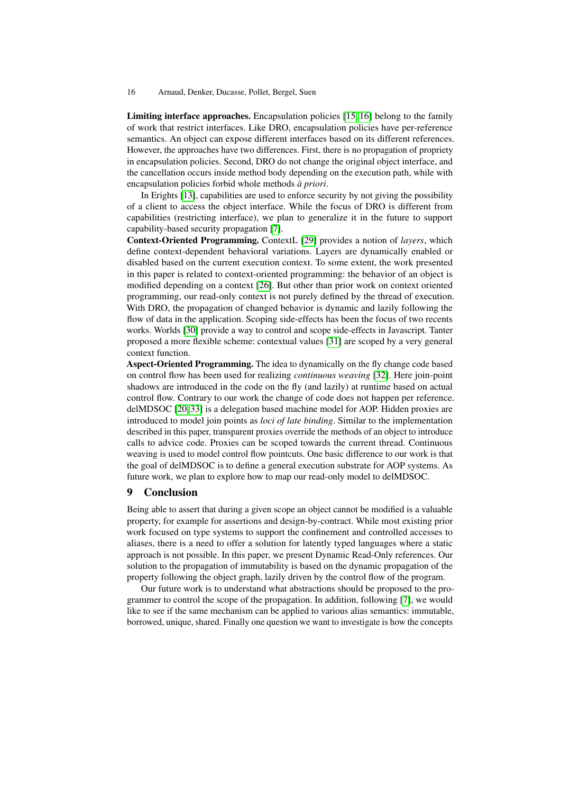Limiting interface approaches. Encapsulation policies [\[15,](#page-17-0) [16\]](#page-17-1) belong to the family of work that restrict interfaces. Like DRO, encapsulation policies have per-reference semantics. An object can expose different interfaces based on its different references. However, the approaches have two differences. First, there is no propagation of propriety in encapsulation policies. Second, DRO do not change the original object interface, and the cancellation occurs inside method body depending on the execution path, while with encapsulation policies forbid whole methods *à priori*.

In Erights [\[13\]](#page-16-10), capabilities are used to enforce security by not giving the possibility of a client to access the object interface. While the focus of DRO is different from capabilities (restricting interface), we plan to generalize it in the future to support capability-based security propagation [\[7\]](#page-16-4).

Context-Oriented Programming. ContextL [\[29\]](#page-17-14) provides a notion of *layers*, which define context-dependent behavioral variations. Layers are dynamically enabled or disabled based on the current execution context. To some extent, the work presented in this paper is related to context-oriented programming: the behavior of an object is modified depending on a context [\[26\]](#page-17-11). But other than prior work on context oriented programming, our read-only context is not purely defined by the thread of execution. With DRO, the propagation of changed behavior is dynamic and lazily following the flow of data in the application. Scoping side-effects has been the focus of two recents works. Worlds [\[30\]](#page-17-15) provide a way to control and scope side-effects in Javascript. Tanter proposed a more flexible scheme: contextual values [\[31\]](#page-17-16) are scoped by a very general context function.

Aspect-Oriented Programming. The idea to dynamically on the fly change code based on control flow has been used for realizing *continuous weaving* [\[32\]](#page-17-17). Here join-point shadows are introduced in the code on the fly (and lazily) at runtime based on actual control flow. Contrary to our work the change of code does not happen per reference. delMDSOC [\[20,](#page-17-5) [33\]](#page-17-18) is a delegation based machine model for AOP. Hidden proxies are introduced to model join points as *loci of late binding*. Similar to the implementation described in this paper, transparent proxies override the methods of an object to introduce calls to advice code. Proxies can be scoped towards the current thread. Continuous weaving is used to model control flow pointcuts. One basic difference to our work is that the goal of delMDSOC is to define a general execution substrate for AOP systems. As future work, we plan to explore how to map our read-only model to delMDSOC.

## 9 Conclusion

Being able to assert that during a given scope an object cannot be modified is a valuable property, for example for assertions and design-by-contract. While most existing prior work focused on type systems to support the confinement and controlled accesses to aliases, there is a need to offer a solution for latently typed languages where a static approach is not possible. In this paper, we present Dynamic Read-Only references. Our solution to the propagation of immutability is based on the dynamic propagation of the property following the object graph, lazily driven by the control flow of the program.

Our future work is to understand what abstractions should be proposed to the programmer to control the scope of the propagation. In addition, following [\[7\]](#page-16-4), we would like to see if the same mechanism can be applied to various alias semantics: immutable, borrowed, unique, shared. Finally one question we want to investigate is how the concepts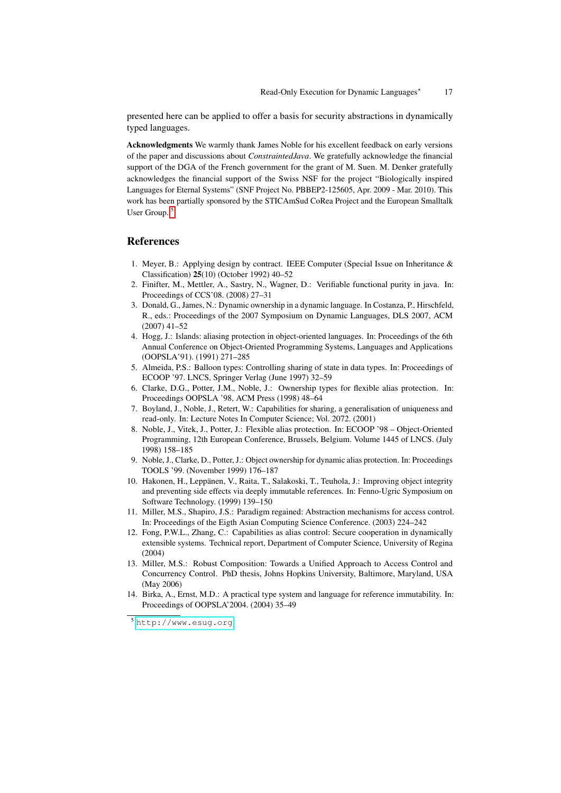17

presented here can be applied to offer a basis for security abstractions in dynamically typed languages.

Acknowledgments We warmly thank James Noble for his excellent feedback on early versions of the paper and discussions about *ConstraintedJava*. We gratefully acknowledge the financial support of the DGA of the French government for the grant of M. Suen. M. Denker gratefully acknowledges the financial support of the Swiss NSF for the project "Biologically inspired Languages for Eternal Systems" (SNF Project No. PBBEP2-125605, Apr. 2009 - Mar. 2010). This work has been partially sponsored by the STICAmSud CoRea Project and the European Smalltalk User Group. [5](#page-16-12)

## References

- <span id="page-16-0"></span>1. Meyer, B.: Applying design by contract. IEEE Computer (Special Issue on Inheritance & Classification) 25(10) (October 1992) 40–52
- <span id="page-16-1"></span>2. Finifter, M., Mettler, A., Sastry, N., Wagner, D.: Verifiable functional purity in java. In: Proceedings of CCS'08. (2008) 27–31
- <span id="page-16-2"></span>3. Donald, G., James, N.: Dynamic ownership in a dynamic language. In Costanza, P., Hirschfeld, R., eds.: Proceedings of the 2007 Symposium on Dynamic Languages, DLS 2007, ACM (2007) 41–52
- <span id="page-16-3"></span>4. Hogg, J.: Islands: aliasing protection in object-oriented languages. In: Proceedings of the 6th Annual Conference on Object-Oriented Programming Systems, Languages and Applications (OOPSLA'91). (1991) 271–285
- <span id="page-16-7"></span>5. Almeida, P.S.: Balloon types: Controlling sharing of state in data types. In: Proceedings of ECOOP '97. LNCS, Springer Verlag (June 1997) 32–59
- <span id="page-16-5"></span>6. Clarke, D.G., Potter, J.M., Noble, J.: Ownership types for flexible alias protection. In: Proceedings OOPSLA '98, ACM Press (1998) 48–64
- <span id="page-16-4"></span>7. Boyland, J., Noble, J., Retert, W.: Capabilities for sharing, a generalisation of uniqueness and read-only. In: Lecture Notes In Computer Science; Vol. 2072. (2001)
- <span id="page-16-6"></span>8. Noble, J., Vitek, J., Potter, J.: Flexible alias protection. In: ECOOP '98 – Object-Oriented Programming, 12th European Conference, Brussels, Belgium. Volume 1445 of LNCS. (July 1998) 158–185
- <span id="page-16-8"></span>9. Noble, J., Clarke, D., Potter, J.: Object ownership for dynamic alias protection. In: Proceedings TOOLS '99. (November 1999) 176–187
- <span id="page-16-9"></span>10. Hakonen, H., Leppänen, V., Raita, T., Salakoski, T., Teuhola, J.: Improving object integrity and preventing side effects via deeply immutable references. In: Fenno-Ugric Symposium on Software Technology. (1999) 139–150
- 11. Miller, M.S., Shapiro, J.S.: Paradigm regained: Abstraction mechanisms for access control. In: Proceedings of the Eigth Asian Computing Science Conference. (2003) 224–242
- 12. Fong, P.W.L., Zhang, C.: Capabilities as alias control: Secure cooperation in dynamically extensible systems. Technical report, Department of Computer Science, University of Regina  $(2004)$
- <span id="page-16-10"></span>13. Miller, M.S.: Robust Composition: Towards a Unified Approach to Access Control and Concurrency Control. PhD thesis, Johns Hopkins University, Baltimore, Maryland, USA (May 2006)
- <span id="page-16-11"></span>14. Birka, A., Ernst, M.D.: A practical type system and language for reference immutability. In: Proceedings of OOPSLA'2004. (2004) 35–49

<span id="page-16-12"></span><sup>5</sup> <http://www.esug.org>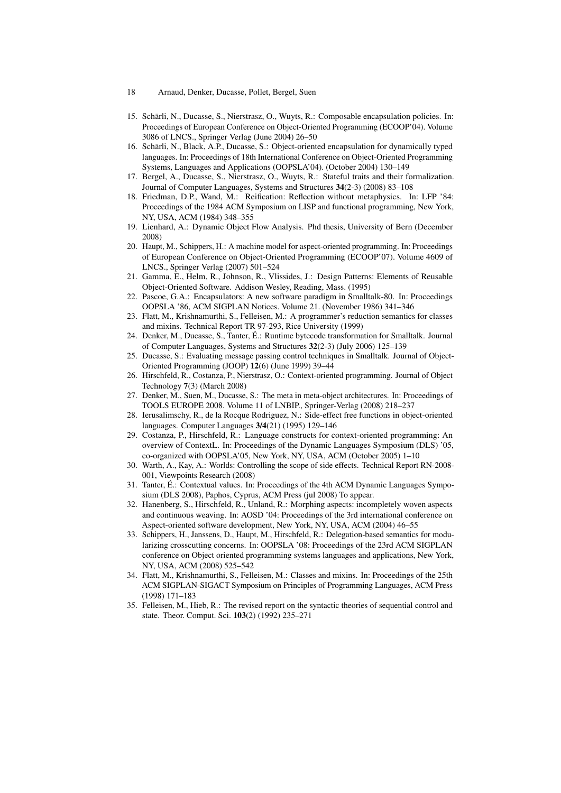- 18 Arnaud, Denker, Ducasse, Pollet, Bergel, Suen
- <span id="page-17-0"></span>15. Schärli, N., Ducasse, S., Nierstrasz, O., Wuyts, R.: Composable encapsulation policies. In: Proceedings of European Conference on Object-Oriented Programming (ECOOP'04). Volume 3086 of LNCS., Springer Verlag (June 2004) 26–50
- <span id="page-17-1"></span>16. Schärli, N., Black, A.P., Ducasse, S.: Object-oriented encapsulation for dynamically typed languages. In: Proceedings of 18th International Conference on Object-Oriented Programming Systems, Languages and Applications (OOPSLA'04). (October 2004) 130–149
- <span id="page-17-2"></span>17. Bergel, A., Ducasse, S., Nierstrasz, O., Wuyts, R.: Stateful traits and their formalization. Journal of Computer Languages, Systems and Structures 34(2-3) (2008) 83–108
- <span id="page-17-3"></span>18. Friedman, D.P., Wand, M.: Reification: Reflection without metaphysics. In: LFP '84: Proceedings of the 1984 ACM Symposium on LISP and functional programming, New York, NY, USA, ACM (1984) 348–355
- <span id="page-17-4"></span>19. Lienhard, A.: Dynamic Object Flow Analysis. Phd thesis, University of Bern (December 2008)
- <span id="page-17-5"></span>20. Haupt, M., Schippers, H.: A machine model for aspect-oriented programming. In: Proceedings of European Conference on Object-Oriented Programming (ECOOP'07). Volume 4609 of LNCS., Springer Verlag (2007) 501–524
- <span id="page-17-6"></span>21. Gamma, E., Helm, R., Johnson, R., Vlissides, J.: Design Patterns: Elements of Reusable Object-Oriented Software. Addison Wesley, Reading, Mass. (1995)
- <span id="page-17-7"></span>22. Pascoe, G.A.: Encapsulators: A new software paradigm in Smalltalk-80. In: Proceedings OOPSLA '86, ACM SIGPLAN Notices. Volume 21. (November 1986) 341–346
- <span id="page-17-8"></span>23. Flatt, M., Krishnamurthi, S., Felleisen, M.: A programmer's reduction semantics for classes and mixins. Technical Report TR 97-293, Rice University (1999)
- <span id="page-17-9"></span>24. Denker, M., Ducasse, S., Tanter, É.: Runtime bytecode transformation for Smalltalk. Journal of Computer Languages, Systems and Structures 32(2-3) (July 2006) 125–139
- <span id="page-17-10"></span>25. Ducasse, S.: Evaluating message passing control techniques in Smalltalk. Journal of Object-Oriented Programming (JOOP) 12(6) (June 1999) 39–44
- <span id="page-17-11"></span>26. Hirschfeld, R., Costanza, P., Nierstrasz, O.: Context-oriented programming. Journal of Object Technology 7(3) (March 2008)
- <span id="page-17-12"></span>27. Denker, M., Suen, M., Ducasse, S.: The meta in meta-object architectures. In: Proceedings of TOOLS EUROPE 2008. Volume 11 of LNBIP., Springer-Verlag (2008) 218–237
- <span id="page-17-13"></span>28. Ierusalimschy, R., de la Rocque Rodriguez, N.: Side-effect free functions in object-oriented languages. Computer Languages 3/4(21) (1995) 129–146
- <span id="page-17-14"></span>29. Costanza, P., Hirschfeld, R.: Language constructs for context-oriented programming: An overview of ContextL. In: Proceedings of the Dynamic Languages Symposium (DLS) '05, co-organized with OOPSLA'05, New York, NY, USA, ACM (October 2005) 1–10
- <span id="page-17-15"></span>30. Warth, A., Kay, A.: Worlds: Controlling the scope of side effects. Technical Report RN-2008- 001, Viewpoints Research (2008)
- <span id="page-17-16"></span>31. Tanter, É.: Contextual values. In: Proceedings of the 4th ACM Dynamic Languages Symposium (DLS 2008), Paphos, Cyprus, ACM Press (jul 2008) To appear.
- <span id="page-17-17"></span>32. Hanenberg, S., Hirschfeld, R., Unland, R.: Morphing aspects: incompletely woven aspects and continuous weaving. In: AOSD '04: Proceedings of the 3rd international conference on Aspect-oriented software development, New York, NY, USA, ACM (2004) 46–55
- <span id="page-17-18"></span>33. Schippers, H., Janssens, D., Haupt, M., Hirschfeld, R.: Delegation-based semantics for modularizing crosscutting concerns. In: OOPSLA '08: Proceedings of the 23rd ACM SIGPLAN conference on Object oriented programming systems languages and applications, New York, NY, USA, ACM (2008) 525–542
- <span id="page-17-19"></span>34. Flatt, M., Krishnamurthi, S., Felleisen, M.: Classes and mixins. In: Proceedings of the 25th ACM SIGPLAN-SIGACT Symposium on Principles of Programming Languages, ACM Press (1998) 171–183
- <span id="page-17-20"></span>35. Felleisen, M., Hieb, R.: The revised report on the syntactic theories of sequential control and state. Theor. Comput. Sci. 103(2) (1992) 235–271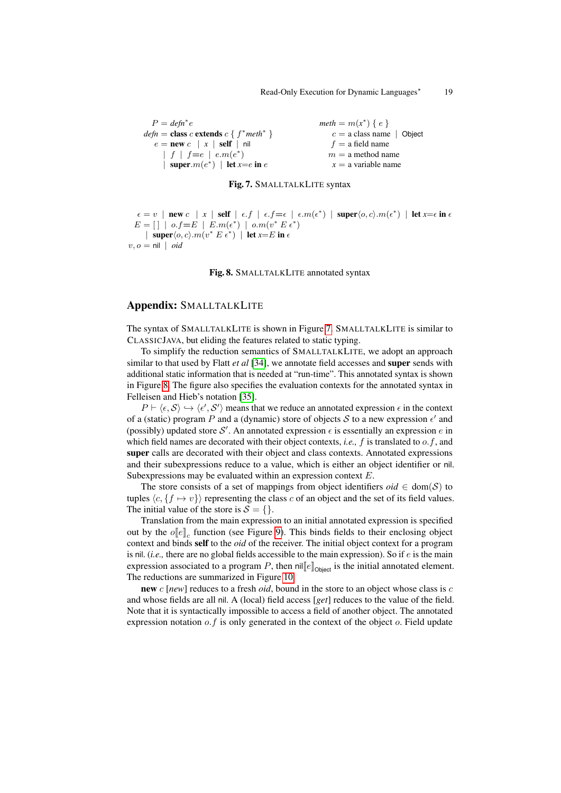$P = \text{def} n^* e$  $\textit{def}n = \textbf{class } c \textbf{ extends } c \text{ } \{ \text{ } f^* \text{meth}^* \text{ } \}$  $e = new c \mid x \mid self \mid nil$  $| f | f = e | e.m(e^*)$  $\vert$  super.  $m(e^*)$  | let  $x=e$  in e *meth* =  $m(x^*) \{ e \}$  $c = a$  class name | Object  $f = a$  field name  $m = a$  method name  $x = a$  variable name

#### <span id="page-18-0"></span>Fig. 7. SMALLTALKLITE syntax

```
\epsilon = v | new c | x | self | \epsilon.f | \epsilon.f = \epsilon | \epsilon.m(\epsilon^*) | super\langle o, c \rangle.m(\epsilon^*) | let x = \epsilon in \epsilonE = [\ ] \ \ | \ \ o.f = E \ | \ E.m(\epsilon^*) \ | \ \ o.m(v^* E \ \epsilon^*)|\operatorname{super}\langle o, c \rangle.m(v^* E \epsilon^*)| let x= E in \epsilonv, o = \mathsf{nil} \mid \mathsf{oid}
```
#### <span id="page-18-1"></span>Fig. 8. SMALLTALKLITE annotated syntax

## Appendix: SMALLTALKLITE

The syntax of SMALLTALKLITE is shown in Figure [7.](#page-18-0) SMALLTALKLITE is similar to CLASSICJAVA, but eliding the features related to static typing.

To simplify the reduction semantics of SMALLTALKLITE, we adopt an approach similar to that used by Flatt *et al* [\[34\]](#page-17-19), we annotate field accesses and super sends with additional static information that is needed at "run-time". This annotated syntax is shown in Figure [8.](#page-18-1) The figure also specifies the evaluation contexts for the annotated syntax in Felleisen and Hieb's notation [\[35\]](#page-17-20).

 $P \vdash \langle \epsilon, \mathcal{S} \rangle \hookrightarrow \langle \epsilon', \mathcal{S}' \rangle$  means that we reduce an annotated expression  $\epsilon$  in the context of a (static) program P and a (dynamic) store of objects S to a new expression  $\epsilon'$  and (possibly) updated store S'. An annotated expression  $\epsilon$  is essentially an expression  $e$  in which field names are decorated with their object contexts, *i.e.*, f is translated to o.f, and super calls are decorated with their object and class contexts. Annotated expressions and their subexpressions reduce to a value, which is either an object identifier or nil. Subexpressions may be evaluated within an expression context E.

The store consists of a set of mappings from object identifiers  $oid \in \text{dom}(S)$  to tuples  $\langle c, \{f \mapsto v\}\rangle$  representing the class c of an object and the set of its field values. The initial value of the store is  $S = \{\}.$ 

Translation from the main expression to an initial annotated expression is specified out by the  $o[\![e]\!]_c$  function (see Figure [9\)](#page-19-0). This binds fields to their enclosing object context and binds self to the *oid* of the receiver. The initial object context for a program is nil. (*i.e.,* there are no global fields accessible to the main expression). So if e is the main expression associated to a program P, then  $\text{nil}\llbracket e \rrbracket_{\text{Object}}$  is the initial annotated element. The reductions are summarized in Figure [10.](#page-19-1)

new c [*new*] reduces to a fresh *oid*, bound in the store to an object whose class is c and whose fields are all nil. A (local) field access [*get*] reduces to the value of the field. Note that it is syntactically impossible to access a field of another object. The annotated expression notation  $o.f$  is only generated in the context of the object  $o.$  Field update

19